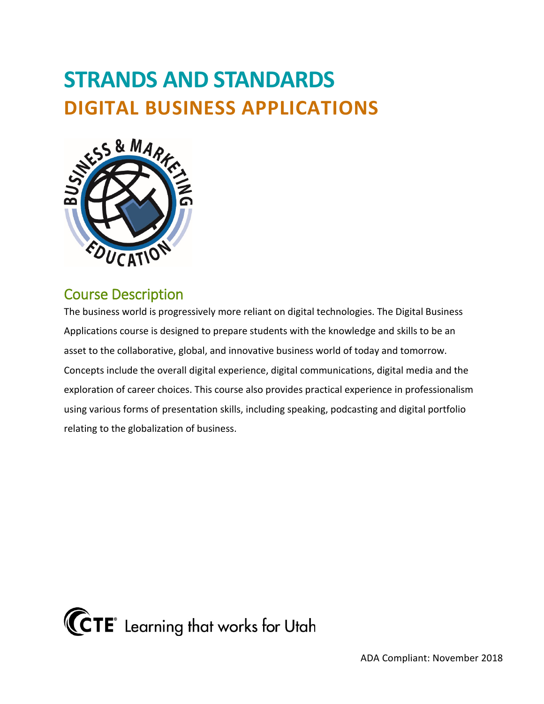# **STRANDS AND STANDARDS DIGITAL BUSINESS APPLICATIONS**



## Course Description

 The business world is progressively more reliant on digital technologies. The Digital Business Applications course is designed to prepare students with the knowledge and skills to be an asset to the collaborative, global, and innovative business world of today and tomorrow. Concepts include the overall digital experience, digital communications, digital media and the exploration of career choices. This course also provides practical experience in professionalism using various forms of presentation skills, including speaking, podcasting and digital portfolio relating to the globalization of business.

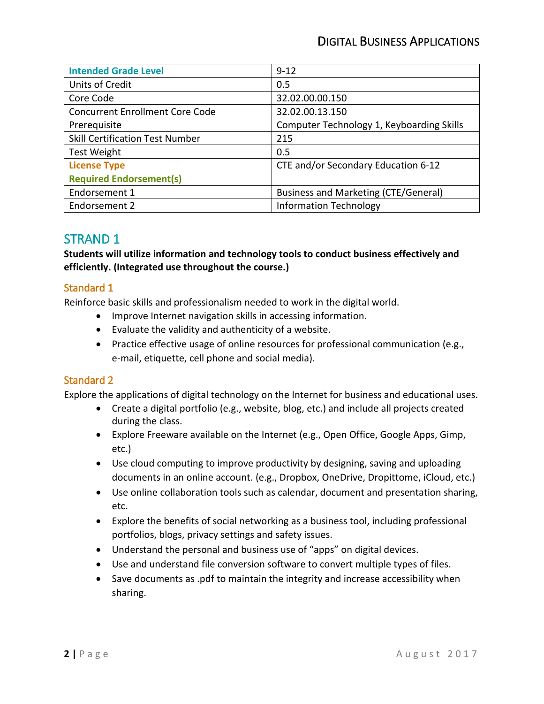### DIGITAL BUSINESS APPLICATIONS

| <b>Intended Grade Level</b>            | $9 - 12$                                    |
|----------------------------------------|---------------------------------------------|
| Units of Credit                        | 0.5                                         |
| Core Code                              | 32.02.00.00.150                             |
| <b>Concurrent Enrollment Core Code</b> | 32.02.00.13.150                             |
| Prerequisite                           | Computer Technology 1, Keyboarding Skills   |
| <b>Skill Certification Test Number</b> | 215                                         |
| <b>Test Weight</b>                     | 0.5                                         |
| <b>License Type</b>                    | CTE and/or Secondary Education 6-12         |
| <b>Required Endorsement(s)</b>         |                                             |
| Endorsement 1                          | <b>Business and Marketing (CTE/General)</b> |
| Endorsement 2                          | <b>Information Technology</b>               |

## STRAND 1

**Students will utilize information and technology tools to conduct business effectively and efficiently. (Integrated use throughout the course.)** 

#### Standard 1

Reinforce basic skills and professionalism needed to work in the digital world.

- Improve Internet navigation skills in accessing information.
- Evaluate the validity and authenticity of a website.
- • Practice effective usage of online resources for professional communication (e.g., e-mail, etiquette, cell phone and social media).

#### Standard 2

Explore the applications of digital technology on the Internet for business and educational uses.

- • Create a digital portfolio (e.g., website, blog, etc.) and include all projects created during the class.
- Explore Freeware available on the Internet (e.g., Open Office, Google Apps, Gimp, etc.)
- • Use cloud computing to improve productivity by designing, saving and uploading documents in an online account. (e.g., Dropbox, OneDrive, Dropittome, iCloud, etc.)
- Use online collaboration tools such as calendar, document and presentation sharing, etc.
- Explore the benefits of social networking as a business tool, including professional portfolios, blogs, privacy settings and safety issues.
- Understand the personal and business use of "apps" on digital devices.
- Use and understand file conversion software to convert multiple types of files.
- Save documents as .pdf to maintain the integrity and increase accessibility when sharing.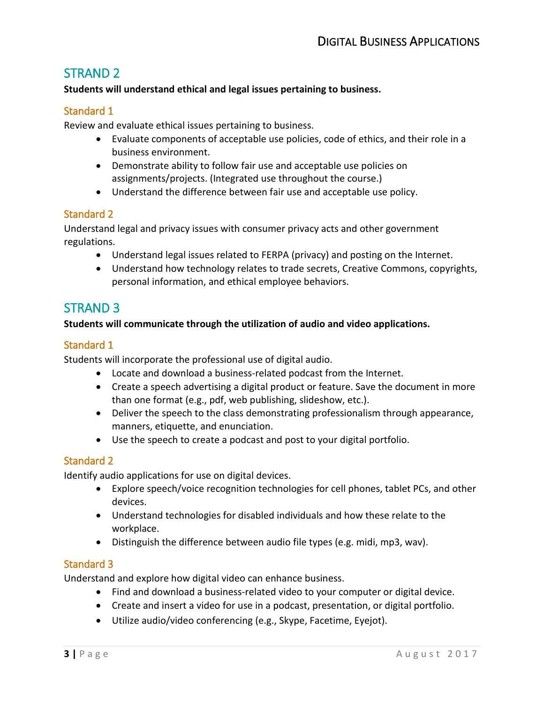## STRAND 2

#### **Students will understand ethical and legal issues pertaining to business.**

#### Standard 1

Review and evaluate ethical issues pertaining to business.

- Evaluate components of acceptable use policies, code of ethics, and their role in a business environment.
- • Demonstrate ability to follow fair use and acceptable use policies on assignments/projects. (Integrated use throughout the course.)
- Understand the difference between fair use and acceptable use policy.

#### Standard 2

Understand legal and privacy issues with consumer privacy acts and other government regulations.

- Understand legal issues related to FERPA (privacy) and posting on the Internet.
- • Understand how technology relates to trade secrets, Creative Commons, copyrights, personal information, and ethical employee behaviors.

## STRAND 3

#### **Students will communicate through the utilization of audio and video applications.**

#### Standard 1

Students will incorporate the professional use of digital audio.

- Locate and download a business-related podcast from the Internet.
- Create a speech advertising a digital product or feature. Save the document in more than one format (e.g., pdf, web publishing, slideshow, etc.).
- Deliver the speech to the class demonstrating professionalism through appearance, manners, etiquette, and enunciation.
- Use the speech to create a podcast and post to your digital portfolio.

#### Standard 2

Identify audio applications for use on digital devices.

- • Explore speech/voice recognition technologies for cell phones, tablet PCs, and other devices.
- Understand technologies for disabled individuals and how these relate to the workplace.
- Distinguish the difference between audio file types (e.g. midi, mp3, wav).

#### Standard 3

Understand and explore how digital video can enhance business.

- Find and download a business-related video to your computer or digital device.
- Create and insert a video for use in a podcast, presentation, or digital portfolio.
- Utilize audio/video conferencing (e.g., Skype, Facetime, Eyejot).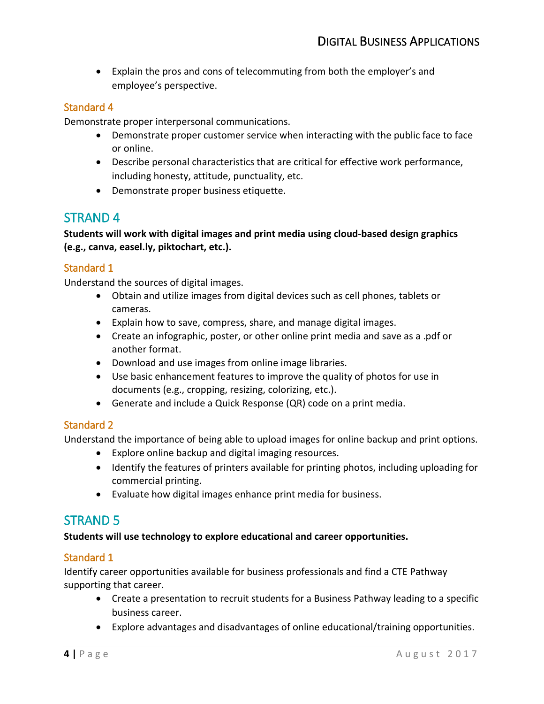• Explain the pros and cons of telecommuting from both the employer's and employee's perspective.

#### Standard 4

Demonstrate proper interpersonal communications.

- • Demonstrate proper customer service when interacting with the public face to face or online.
- Describe personal characteristics that are critical for effective work performance, including honesty, attitude, punctuality, etc.
- Demonstrate proper business etiquette.

## STRAND 4

**Students will work with digital images and print media using cloud-based design graphics (e.g., canva, easel.ly, piktochart, etc.).** 

#### Standard 1

Understand the sources of digital images.

- Obtain and utilize images from digital devices such as cell phones, tablets or cameras.
- Explain how to save, compress, share, and manage digital images.
- another format. • Create an infographic, poster, or other online print media and save as a .pdf or
- Download and use images from online image libraries.
- • Use basic enhancement features to improve the quality of photos for use in documents (e.g., cropping, resizing, colorizing, etc.).
- Generate and include a Quick Response (QR) code on a print media.

#### Standard 2

Understand the importance of being able to upload images for online backup and print options.

- Explore online backup and digital imaging resources.
- • Identify the features of printers available for printing photos, including uploading for commercial printing.
- Evaluate how digital images enhance print media for business.

## STRAND 5

#### **Students will use technology to explore educational and career opportunities.**

#### Standard 1

 Identify career opportunities available for business professionals and find a CTE Pathway supporting that career.

- • Create a presentation to recruit students for a Business Pathway leading to a specific business career.
- Explore advantages and disadvantages of online educational/training opportunities.